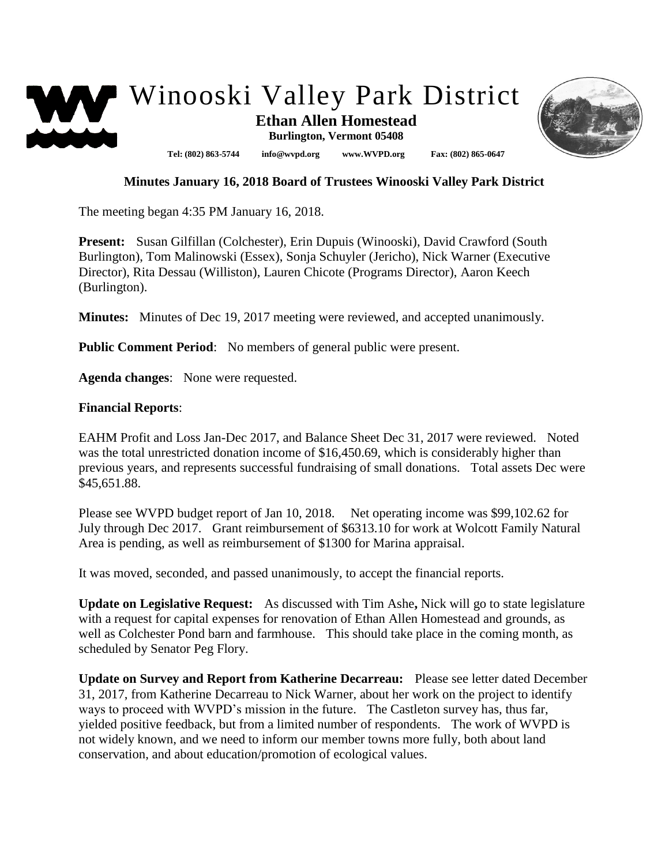



## **Minutes January 16, 2018 Board of Trustees Winooski Valley Park District**

The meeting began 4:35 PM January 16, 2018.

**Present:** Susan Gilfillan (Colchester), Erin Dupuis (Winooski), David Crawford (South Burlington), Tom Malinowski (Essex), Sonja Schuyler (Jericho), Nick Warner (Executive Director), Rita Dessau (Williston), Lauren Chicote (Programs Director), Aaron Keech (Burlington).

**Minutes:** Minutes of Dec 19, 2017 meeting were reviewed, and accepted unanimously.

**Public Comment Period:** No members of general public were present.

**Agenda changes**: None were requested.

## **Financial Reports**:

EAHM Profit and Loss Jan-Dec 2017, and Balance Sheet Dec 31, 2017 were reviewed. Noted was the total unrestricted donation income of \$16,450.69, which is considerably higher than previous years, and represents successful fundraising of small donations. Total assets Dec were \$45,651.88.

Please see WVPD budget report of Jan 10, 2018. Net operating income was \$99,102.62 for July through Dec 2017. Grant reimbursement of \$6313.10 for work at Wolcott Family Natural Area is pending, as well as reimbursement of \$1300 for Marina appraisal.

It was moved, seconded, and passed unanimously, to accept the financial reports.

**Update on Legislative Request:** As discussed with Tim Ashe**,** Nick will go to state legislature with a request for capital expenses for renovation of Ethan Allen Homestead and grounds, as well as Colchester Pond barn and farmhouse. This should take place in the coming month, as scheduled by Senator Peg Flory.

**Update on Survey and Report from Katherine Decarreau:** Please see letter dated December 31, 2017, from Katherine Decarreau to Nick Warner, about her work on the project to identify ways to proceed with WVPD's mission in the future. The Castleton survey has, thus far, yielded positive feedback, but from a limited number of respondents. The work of WVPD is not widely known, and we need to inform our member towns more fully, both about land conservation, and about education/promotion of ecological values.